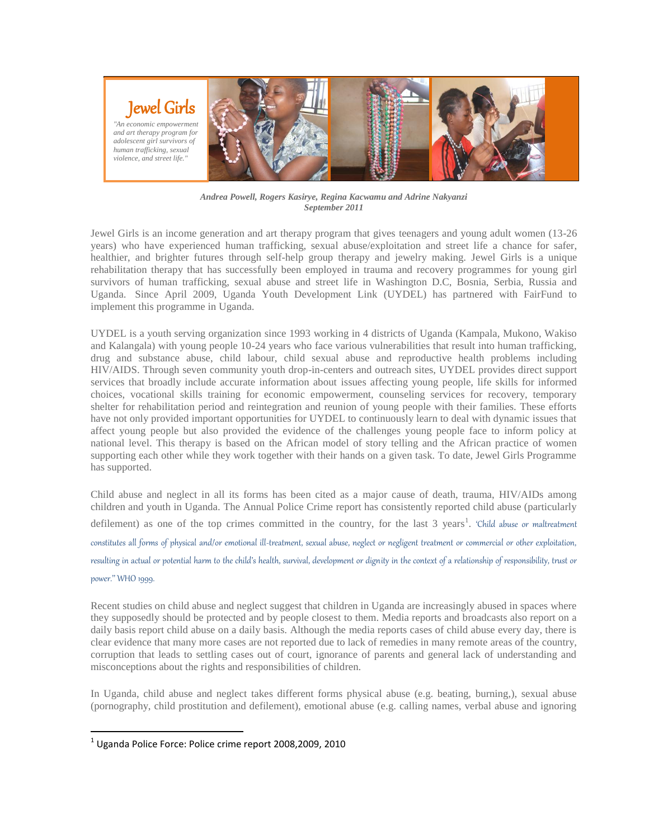

*Andrea Powell, Rogers Kasirye, Regina Kacwamu and Adrine Nakyanzi September 2011*

Jewel Girls is an income generation and art therapy program that gives teenagers and young adult women (13-26 years) who have experienced human trafficking, sexual abuse/exploitation and street life a chance for safer, healthier, and brighter futures through self-help group therapy and jewelry making. Jewel Girls is a unique rehabilitation therapy that has successfully been employed in trauma and recovery programmes for young girl survivors of human trafficking, sexual abuse and street life in Washington D.C, Bosnia, Serbia, Russia and Uganda. Since April 2009, Uganda Youth Development Link (UYDEL) has partnered with FairFund to implement this programme in Uganda.

UYDEL is a youth serving organization since 1993 working in 4 districts of Uganda (Kampala, Mukono, Wakiso and Kalangala) with young people 10-24 years who face various vulnerabilities that result into human trafficking, drug and substance abuse, child labour, child sexual abuse and reproductive health problems including HIV/AIDS. Through seven community youth drop-in-centers and outreach sites, UYDEL provides direct support services that broadly include accurate information about issues affecting young people, life skills for informed choices, vocational skills training for economic empowerment, counseling services for recovery, temporary shelter for rehabilitation period and reintegration and reunion of young people with their families. These efforts have not only provided important opportunities for UYDEL to continuously learn to deal with dynamic issues that affect young people but also provided the evidence of the challenges young people face to inform policy at national level. This therapy is based on the African model of story telling and the African practice of women supporting each other while they work together with their hands on a given task. To date, Jewel Girls Programme has supported.

Child abuse and neglect in all its forms has been cited as a major cause of death, trauma, HIV/AIDs among children and youth in Uganda. The Annual Police Crime report has consistently reported child abuse (particularly defilement) as one of the top crimes committed in the country, for the last 3 years<sup>1</sup>. 'Child abuse or maltreatment constitutes all forms of physical and/or emotional ill-treatment, sexual abuse, neglect or negligent treatment or commercial or other exploitation, resulting in actual or potential harm to the child's health, survival, development or dignity in the context of a relationship of responsibility, trust or power.'' WHO 1999.

Recent studies on child abuse and neglect suggest that children in Uganda are increasingly abused in spaces where they supposedly should be protected and by people closest to them. Media reports and broadcasts also report on a daily basis report child abuse on a daily basis. Although the media reports cases of child abuse every day, there is clear evidence that many more cases are not reported due to lack of remedies in many remote areas of the country, corruption that leads to settling cases out of court, ignorance of parents and general lack of understanding and misconceptions about the rights and responsibilities of children.

In Uganda, child abuse and neglect takes different forms physical abuse (e.g. beating, burning,), sexual abuse (pornography, child prostitution and defilement), emotional abuse (e.g. calling names, verbal abuse and ignoring

l

 $^1$  Uganda Police Force: Police crime report 2008,2009, 2010